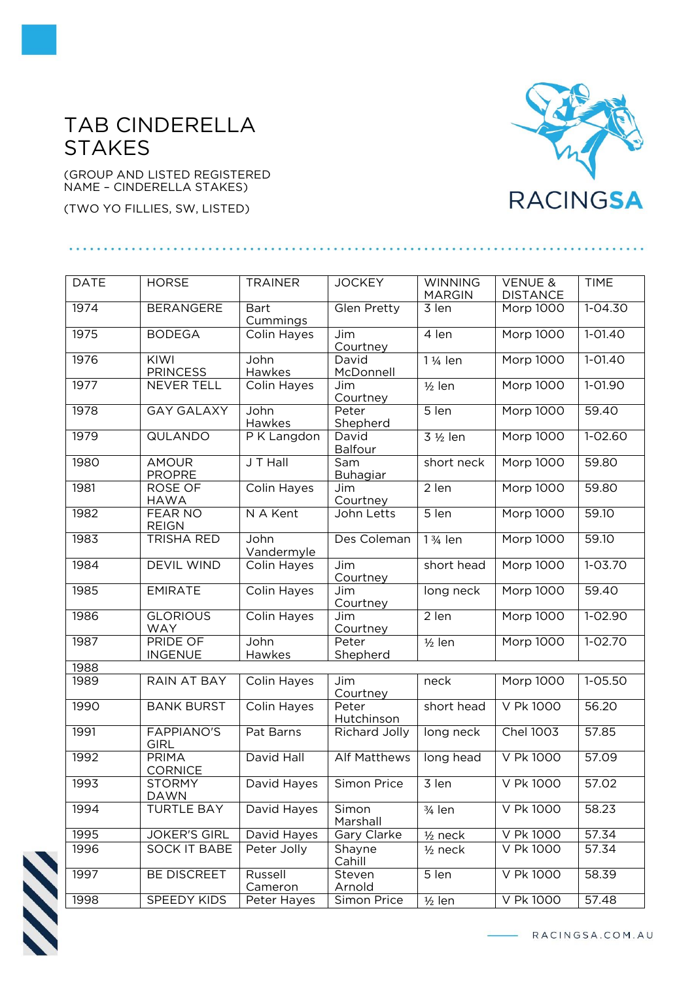## TAB CINDERELLA **STAKES**

(GROUP AND LISTED REGISTERED NAME – CINDERELLA STAKES)

(TWO YO FILLIES, SW, LISTED)

## **RACINGSA**

| <b>DATE</b> | <b>HORSE</b>                      | <b>TRAINER</b>          | <b>JOCKEY</b>        | <b>WINNING</b><br><b>MARGIN</b> | <b>VENUE &amp;</b><br><b>DISTANCE</b> | <b>TIME</b> |
|-------------|-----------------------------------|-------------------------|----------------------|---------------------------------|---------------------------------------|-------------|
| 1974        | <b>BERANGERE</b>                  | <b>Bart</b><br>Cummings | Glen Pretty          | $\overline{3}$ len              | Morp 1000                             | $1 - 04.30$ |
| 1975        | <b>BODEGA</b>                     | Colin Hayes             | Jim<br>Courtney      | 4 len                           | Morp 1000                             | $1 - 01.40$ |
| 1976        | KIWI<br><b>PRINCESS</b>           | John<br>Hawkes          | David<br>McDonnell   | 1 1/ <sub>4</sub> len           | Morp 1000                             | $1 - 01.40$ |
| 1977        | NEVER TELL                        | Colin Hayes             | Jim<br>Courtney      | $1/2$ len                       | <b>Morp 1000</b>                      | 1-01.90     |
| 1978        | <b>GAY GALAXY</b>                 | John<br>Hawkes          | Peter<br>Shepherd    | 5 len                           | Morp 1000                             | 59.40       |
| 1979        | <b>QULANDO</b>                    | P K Langdon             | David<br>Balfour     | 3 1/2 len                       | Morp 1000                             | $1 - 02.60$ |
| 1980        | <b>AMOUR</b><br><b>PROPRE</b>     | J T Hall                | Sam<br>Buhagiar      | short neck                      | Morp 1000                             | 59.80       |
| 1981        | ROSE OF<br><b>HAWA</b>            | Colin Hayes             | Jim<br>Courtney      | 2 len                           | Morp 1000                             | 59.80       |
| 1982        | <b>FEAR NO</b><br><b>REIGN</b>    | N A Kent                | John Letts           | $5$ len                         | <b>Morp 1000</b>                      | 59.10       |
| 1983        | <b>TRISHA RED</b>                 | John<br>Vandermyle      | Des Coleman          | 1 3/ <sub>4</sub> len           | <b>Morp 1000</b>                      | 59.10       |
| 1984        | <b>DEVIL WIND</b>                 | Colin Hayes             | Jim<br>Courtney      | short head                      | <b>Morp 1000</b>                      | $1 - 03.70$ |
| 1985        | <b>EMIRATE</b>                    | Colin Hayes             | Jim<br>Courtney      | long neck                       | Morp 1000                             | 59.40       |
| 1986        | <b>GLORIOUS</b><br><b>WAY</b>     | Colin Hayes             | Jim<br>Courtney      | 2 len                           | Morp 1000                             | 1-02.90     |
| 1987        | <b>PRIDE OF</b><br><b>INGENUE</b> | John<br>Hawkes          | Peter<br>Shepherd    | $\frac{1}{2}$ len               | Morp 1000                             | $1 - 02.70$ |
| 1988        |                                   |                         |                      |                                 |                                       |             |
| 1989        | <b>RAIN AT BAY</b>                | Colin Hayes             | Jim<br>Courtney      | neck                            | Morp 1000                             | $1 - 05.50$ |
| 1990        | <b>BANK BURST</b>                 | Colin Hayes             | Peter<br>Hutchinson  | short head                      | V Pk 1000                             | 56.20       |
| 1991        | <b>FAPPIANO'S</b><br><b>GIRL</b>  | Pat Barns               | <b>Richard Jolly</b> | long neck                       | <b>Chel 1003</b>                      | 57.85       |
| 1992        | PRIMA<br><b>CORNICE</b>           | David Hall              | <b>Alf Matthews</b>  | long head                       | V Pk 1000                             | 57.09       |
| 1993        | <b>STORMY</b><br><b>DAWN</b>      | David Hayes             | Simon Price          | 3 len                           | V Pk 1000                             | 57.02       |
| 1994        | <b>TURTLE BAY</b>                 | David Hayes             | Simon<br>Marshall    | $\frac{3}{4}$ len               | V Pk 1000                             | 58.23       |
| 1995        | <b>JOKER'S GIRL</b>               | David Hayes             | Gary Clarke          | $1/2$ neck                      | V Pk 1000                             | 57.34       |
| 1996        | <b>SOCK IT BABE</b>               | Peter Jolly             | Shayne<br>Cahill     | $1/2$ neck                      | V Pk 1000                             | 57.34       |
| 1997        | <b>BE DISCREET</b>                | Russell<br>Cameron      | Steven<br>Arnold     | 5 len                           | <b>V Pk 1000</b>                      | 58.39       |
| 1998        | SPEEDY KIDS                       | Peter Hayes             | Simon Price          | $1/2$ len                       | V Pk 1000                             | 57.48       |